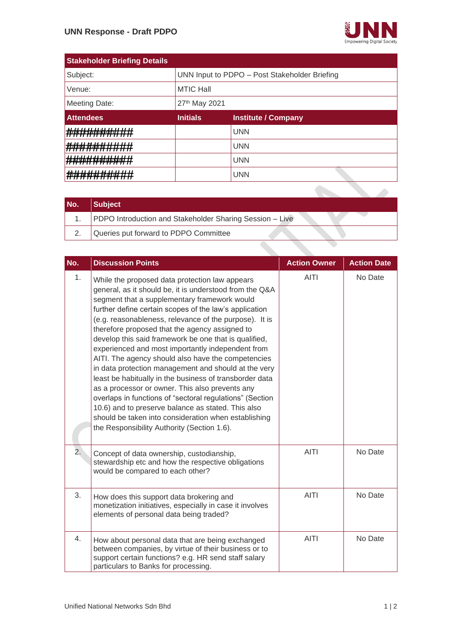

| <b>Stakeholder Briefing Details</b>                                     |                                               |                            |  |
|-------------------------------------------------------------------------|-----------------------------------------------|----------------------------|--|
| Subject:                                                                | UNN Input to PDPO - Post Stakeholder Briefing |                            |  |
| Venue:                                                                  | <b>MTIC Hall</b>                              |                            |  |
| Meeting Date:                                                           | 27th May 2021                                 |                            |  |
| <b>Attendees</b>                                                        | <b>Initials</b>                               | <b>Institute / Company</b> |  |
| <del>N.H.H.H.H.H.H.H.H</del>                                            |                                               | <b>UNN</b>                 |  |
| <u>ныл нижипипи</u><br>188 MARTIN TI TI T<br><del>,,,,,,,,,,,,,,,</del> |                                               | <b>UNN</b>                 |  |
| ,,,,,,,,,,,,,,,,,,,,,<br>911 MB 175 18                                  |                                               | <b>UNN</b>                 |  |
| ाम सामग्री में कि                                                       |                                               | <b>UNN</b>                 |  |
|                                                                         |                                               |                            |  |

| No. | <b>Subject</b>                                           |
|-----|----------------------------------------------------------|
|     | PDPO Introduction and Stakeholder Sharing Session - Live |
|     | Queries put forward to PDPO Committee                    |
|     |                                                          |

| No. | <b>Discussion Points</b>                                                                                                                                                                                                                                                                                                                                                                                                                                                                                                                                                                                                                                                                                                                                                                                                                                                                           | <b>Action Owner</b> | <b>Action Date</b> |
|-----|----------------------------------------------------------------------------------------------------------------------------------------------------------------------------------------------------------------------------------------------------------------------------------------------------------------------------------------------------------------------------------------------------------------------------------------------------------------------------------------------------------------------------------------------------------------------------------------------------------------------------------------------------------------------------------------------------------------------------------------------------------------------------------------------------------------------------------------------------------------------------------------------------|---------------------|--------------------|
| 1.  | While the proposed data protection law appears<br>general, as it should be, it is understood from the Q&A<br>segment that a supplementary framework would<br>further define certain scopes of the law's application<br>(e.g. reasonableness, relevance of the purpose). It is<br>therefore proposed that the agency assigned to<br>develop this said framework be one that is qualified,<br>experienced and most importantly independent from<br>AITI. The agency should also have the competencies<br>in data protection management and should at the very<br>least be habitually in the business of transborder data<br>as a processor or owner. This also prevents any<br>overlaps in functions of "sectoral regulations" (Section<br>10.6) and to preserve balance as stated. This also<br>should be taken into consideration when establishing<br>the Responsibility Authority (Section 1.6). | <b>AITI</b>         | No Date            |
| 2.  | Concept of data ownership, custodianship,<br>stewardship etc and how the respective obligations<br>would be compared to each other?                                                                                                                                                                                                                                                                                                                                                                                                                                                                                                                                                                                                                                                                                                                                                                | <b>AITI</b>         | No Date            |
| 3.  | How does this support data brokering and<br>monetization initiatives, especially in case it involves<br>elements of personal data being traded?                                                                                                                                                                                                                                                                                                                                                                                                                                                                                                                                                                                                                                                                                                                                                    | <b>AITI</b>         | No Date            |
| 4.  | How about personal data that are being exchanged<br>between companies, by virtue of their business or to<br>support certain functions? e.g. HR send staff salary<br>particulars to Banks for processing.                                                                                                                                                                                                                                                                                                                                                                                                                                                                                                                                                                                                                                                                                           | <b>AITI</b>         | No Date            |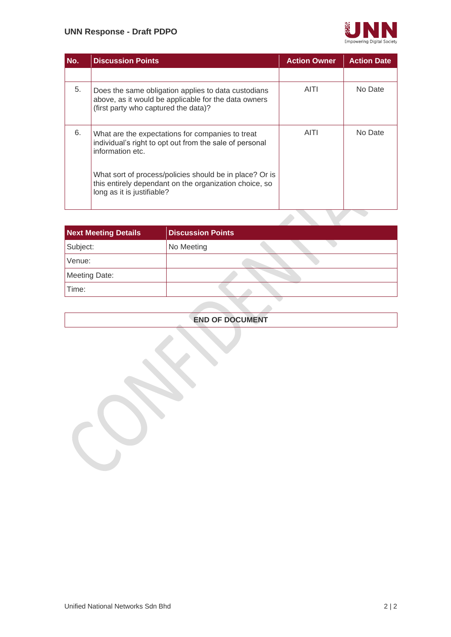#### **UNN Response - Draft PDPO**



| No. | <b>Discussion Points</b>                                                                                                                            | <b>Action Owner</b> | <b>Action Date</b> |
|-----|-----------------------------------------------------------------------------------------------------------------------------------------------------|---------------------|--------------------|
|     |                                                                                                                                                     |                     |                    |
| 5.  | Does the same obligation applies to data custodians<br>above, as it would be applicable for the data owners<br>(first party who captured the data)? | AITI                | No Date            |
| 6.  | What are the expectations for companies to treat<br>individual's right to opt out from the sale of personal<br>information etc.                     | <b>AITI</b>         | No Date            |
|     | What sort of process/policies should be in place? Or is<br>this entirely dependant on the organization choice, so<br>long as it is justifiable?     |                     |                    |

| <b>Next Meeting Details</b> | <b>Discussion Points</b> |
|-----------------------------|--------------------------|
| Subject:                    | No Meeting               |
| Venue:                      |                          |
| Meeting Date:               |                          |
| Time:                       |                          |

#### **END OF DOCUMENT**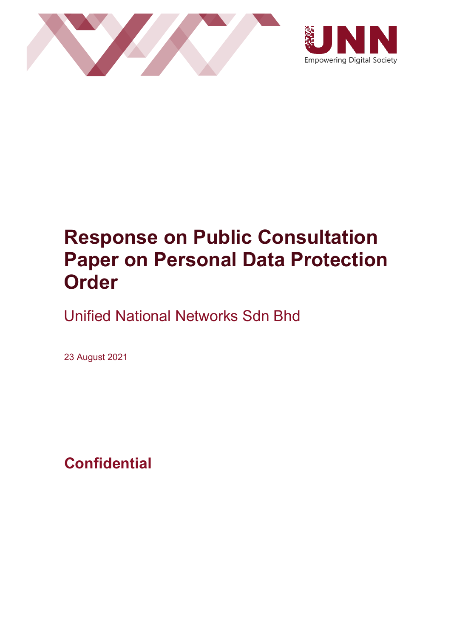



# **Response on Public Consultation Paper on Personal Data Protection Order**

Unified National Networks Sdn Bhd

23 August 2021

**Confidential**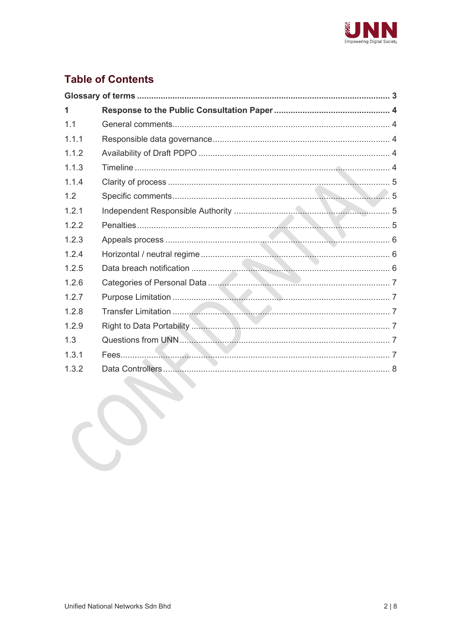

## **Table of Contents**

| 1     |  |
|-------|--|
| 1.1   |  |
| 1.1.1 |  |
| 1.1.2 |  |
| 1.1.3 |  |
| 1.1.4 |  |
| 1.2   |  |
| 121   |  |
| 1.2.2 |  |
| 1.2.3 |  |
| 1.2.4 |  |
| 1.2.5 |  |
| 1.2.6 |  |
| 1.2.7 |  |
| 1.2.8 |  |
| 1.2.9 |  |
| 1.3   |  |
| 1.3.1 |  |
| 1.3.2 |  |
|       |  |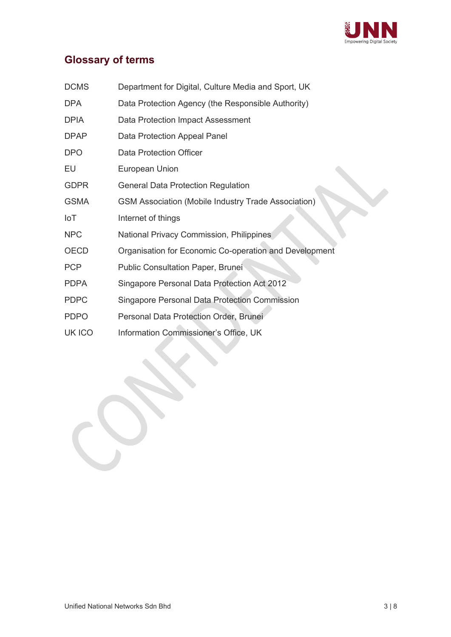

# <span id="page-4-0"></span>**Glossary of terms**

| <b>DCMS</b> | Department for Digital, Culture Media and Sport, UK        |  |  |
|-------------|------------------------------------------------------------|--|--|
| <b>DPA</b>  | Data Protection Agency (the Responsible Authority)         |  |  |
| <b>DPIA</b> | Data Protection Impact Assessment                          |  |  |
| <b>DPAP</b> | Data Protection Appeal Panel                               |  |  |
| <b>DPO</b>  | <b>Data Protection Officer</b>                             |  |  |
| EU          | European Union                                             |  |  |
| <b>GDPR</b> | <b>General Data Protection Regulation</b>                  |  |  |
| <b>GSMA</b> | <b>GSM Association (Mobile Industry Trade Association)</b> |  |  |
| IoT         | Internet of things                                         |  |  |
| <b>NPC</b>  | National Privacy Commission, Philippines                   |  |  |
| OECD        | Organisation for Economic Co-operation and Development     |  |  |
| <b>PCP</b>  | <b>Public Consultation Paper, Brunei</b>                   |  |  |
| <b>PDPA</b> | Singapore Personal Data Protection Act 2012                |  |  |
| <b>PDPC</b> | <b>Singapore Personal Data Protection Commission</b>       |  |  |
| <b>PDPO</b> | Personal Data Protection Order, Brunei                     |  |  |
| UK ICO      | Information Commissioner's Office, UK                      |  |  |

I.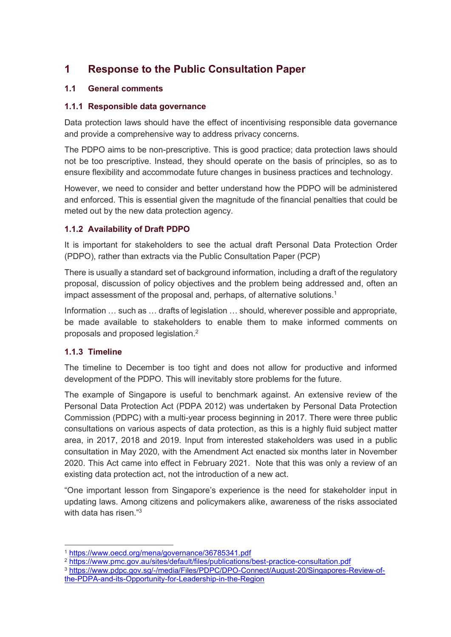### <span id="page-5-0"></span>**1 Response to the Public Consultation Paper**

#### <span id="page-5-1"></span>**1.1 General comments**

#### <span id="page-5-2"></span>**1.1.1 Responsible data governance**

Data protection laws should have the effect of incentivising responsible data governance and provide a comprehensive way to address privacy concerns.

The PDPO aims to be non-prescriptive. This is good practice; data protection laws should not be too prescriptive. Instead, they should operate on the basis of principles, so as to ensure flexibility and accommodate future changes in business practices and technology.

However, we need to consider and better understand how the PDPO will be administered and enforced. This is essential given the magnitude of the financial penalties that could be meted out by the new data protection agency.

#### <span id="page-5-3"></span>**1.1.2 Availability of Draft PDPO**

It is important for stakeholders to see the actual draft Personal Data Protection Order (PDPO), rather than extracts via the Public Consultation Paper (PCP)

There is usually a standard set of background information, including a draft of the regulatory proposal, discussion of policy objectives and the problem being addressed and, often an impact assessment of the proposal and, perhaps, of alternative solutions.<sup>1</sup>

Information … such as … drafts of legislation … should, wherever possible and appropriate, be made available to stakeholders to enable them to make informed comments on proposals and proposed legislation.<sup>2</sup>

#### <span id="page-5-4"></span>**1.1.3 Timeline**

The timeline to December is too tight and does not allow for productive and informed development of the PDPO. This will inevitably store problems for the future.

The example of Singapore is useful to benchmark against. An extensive review of the Personal Data Protection Act (PDPA 2012) was undertaken by Personal Data Protection Commission (PDPC) with a multi-year process beginning in 2017. There were three public consultations on various aspects of data protection, as this is a highly fluid subject matter area, in 2017, 2018 and 2019. Input from interested stakeholders was used in a public consultation in May 2020, with the Amendment Act enacted six months later in November 2020. This Act came into effect in February 2021. Note that this was only a review of an existing data protection act, not the introduction of a new act.

"One important lesson from Singapore's experience is the need for stakeholder input in updating laws. Among citizens and policymakers alike, awareness of the risks associated with data has risen  $"3$ 

<sup>1</sup> <https://www.oecd.org/mena/governance/36785341.pdf>

<sup>&</sup>lt;sup>2</sup> <https://www.pmc.gov.au/sites/default/files/publications/best-practice-consultation.pdf>

<sup>3</sup> [https://www.pdpc.gov.sg/-/media/Files/PDPC/DPO-Connect/August-20/Singapores-Review-of](https://www.pdpc.gov.sg/-/media/Files/PDPC/DPO-Connect/August-20/Singapores-Review-of-the-PDPA-and-its-Opportunity-for-Leadership-in-the-Region)[the-PDPA-and-its-Opportunity-for-Leadership-in-the-Region](https://www.pdpc.gov.sg/-/media/Files/PDPC/DPO-Connect/August-20/Singapores-Review-of-the-PDPA-and-its-Opportunity-for-Leadership-in-the-Region)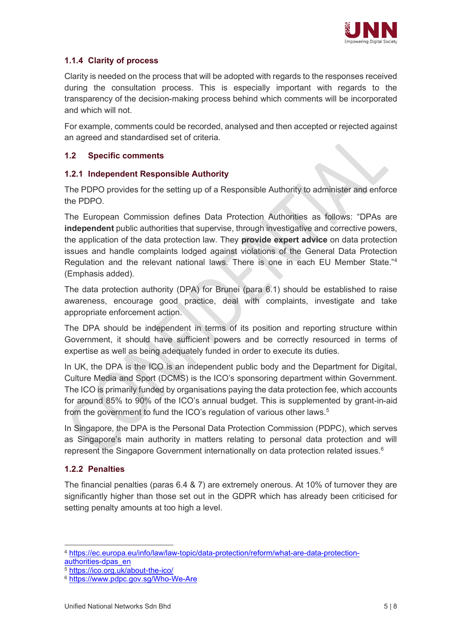

#### <span id="page-6-0"></span>**1.1.4 Clarity of process**

Clarity is needed on the process that will be adopted with regards to the responses received during the consultation process. This is especially important with regards to the transparency of the decision-making process behind which comments will be incorporated and which will not.

For example, comments could be recorded, analysed and then accepted or rejected against an agreed and standardised set of criteria.

#### <span id="page-6-2"></span><span id="page-6-1"></span>**1.2 Specific comments**

#### **1.2.1 Independent Responsible Authority**

The PDPO provides for the setting up of a Responsible Authority to administer and enforce the PDPO.

The European Commission defines Data Protection Authorities as follows: "DPAs are **independent** public authorities that supervise, through investigative and corrective powers, the application of the data protection law. They **provide expert advice** on data protection issues and handle complaints lodged against violations of the General Data Protection Regulation and the relevant national laws. There is one in each EU Member State."<sup>4</sup> (Emphasis added).

The data protection authority (DPA) for Brunei (para 6.1) should be established to raise awareness, encourage good practice, deal with complaints, investigate and take appropriate enforcement action.

The DPA should be independent in terms of its position and reporting structure within Government, it should have sufficient powers and be correctly resourced in terms of expertise as well as being adequately funded in order to execute its duties.

In UK, the DPA is the ICO is an independent public body and the Department for Digital, Culture Media and Sport (DCMS) is the ICO's sponsoring department within Government. The ICO is primarily funded by organisations paying the data protection fee, which accounts for around 85% to 90% of the ICO's annual budget. This is supplemented by grant-in-aid from the government to fund the ICO's regulation of various other laws.<sup>5</sup>

In Singapore, the DPA is the Personal Data Protection Commission (PDPC), which serves as Singapore's main authority in matters relating to personal data protection and will represent the Singapore Government internationally on data protection related issues.<sup>6</sup>

#### <span id="page-6-3"></span>**1.2.2 Penalties**

The financial penalties (paras 6.4 & 7) are extremely onerous. At 10% of turnover they are significantly higher than those set out in the GDPR which has already been criticised for setting penalty amounts at too high a level.

<sup>4</sup> [https://ec.europa.eu/info/law/law-topic/data-protection/reform/what-are-data-protection](https://ec.europa.eu/info/law/law-topic/data-protection/reform/what-are-data-protection-authorities-dpas_en)[authorities-dpas\\_en](https://ec.europa.eu/info/law/law-topic/data-protection/reform/what-are-data-protection-authorities-dpas_en)

<sup>5</sup> <https://ico.org.uk/about-the-ico/>

<sup>6</sup> <https://www.pdpc.gov.sg/Who-We-Are>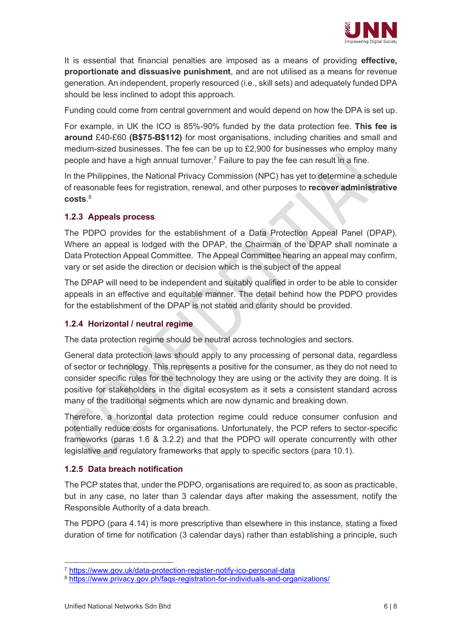

It is essential that financial penalties are imposed as a means of providing **effective, proportionate and dissuasive punishment**, and are not utilised as a means for revenue generation. An independent, properly resourced (i.e., skill sets) and adequately funded DPA should be less inclined to adopt this approach.

Funding could come from central government and would depend on how the DPA is set up.

For example, in UK the ICO is 85%-90% funded by the data protection fee. **This fee is around** £40-£60 **(B\$75-B\$112)** for most organisations, including charities and small and medium-sized businesses. The fee can be up to  $£2,900$  for businesses who employ many people and have a high annual turnover.<sup>7</sup> Failure to pay the fee can result in a fine.

In the Philippines, the National Privacy Commission (NPC) has yet to determine a schedule of reasonable fees for registration, renewal, and other purposes to **recover administrative costs**. 8

#### <span id="page-7-0"></span>**1.2.3 Appeals process**

The PDPO provides for the establishment of a Data Protection Appeal Panel (DPAP). Where an appeal is lodged with the DPAP, the Chairman of the DPAP shall nominate a Data Protection Appeal Committee. The Appeal Committee hearing an appeal may confirm, vary or set aside the direction or decision which is the subject of the appeal

The DPAP will need to be independent and suitably qualified in order to be able to consider appeals in an effective and equitable manner. The detail behind how the PDPO provides for the establishment of the DPAP is not stated and clarity should be provided.

#### <span id="page-7-1"></span>**1.2.4 Horizontal / neutral regime**

The data protection regime should be neutral across technologies and sectors.

General data protection laws should apply to any processing of personal data, regardless of sector or technology. This represents a positive for the consumer, as they do not need to consider specific rules for the technology they are using or the activity they are doing. It is positive for stakeholders in the digital ecosystem as it sets a consistent standard across many of the traditional segments which are now dynamic and breaking down.

Therefore, a horizontal data protection regime could reduce consumer confusion and potentially reduce costs for organisations. Unfortunately, the PCP refers to sector-specific frameworks (paras 1.6 & 3.2.2) and that the PDPO will operate concurrently with other legislative and regulatory frameworks that apply to specific sectors (para 10.1).

#### <span id="page-7-2"></span>**1.2.5 Data breach notification**

The PCP states that, under the PDPO, organisations are required to, as soon as practicable, but in any case, no later than 3 calendar days after making the assessment, notify the Responsible Authority of a data breach.

The PDPO (para 4.14) is more prescriptive than elsewhere in this instance, stating a fixed duration of time for notification (3 calendar days) rather than establishing a principle, such

<sup>7</sup> <https://www.gov.uk/data-protection-register-notify-ico-personal-data>

<sup>8</sup> <https://www.privacy.gov.ph/faqs-registration-for-individuals-and-organizations/>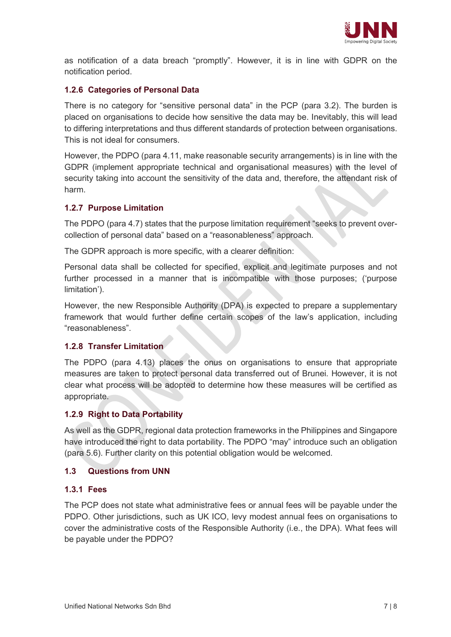

as notification of a data breach "promptly". However, it is in line with GDPR on the notification period.

#### <span id="page-8-0"></span>**1.2.6 Categories of Personal Data**

There is no category for "sensitive personal data" in the PCP (para 3.2). The burden is placed on organisations to decide how sensitive the data may be. Inevitably, this will lead to differing interpretations and thus different standards of protection between organisations. This is not ideal for consumers.

However, the PDPO (para 4.11, make reasonable security arrangements) is in line with the GDPR (implement appropriate technical and organisational measures) with the level of security taking into account the sensitivity of the data and, therefore, the attendant risk of harm.

#### <span id="page-8-1"></span>**1.2.7 Purpose Limitation**

The PDPO (para 4.7) states that the purpose limitation requirement "seeks to prevent overcollection of personal data" based on a "reasonableness" approach.

The GDPR approach is more specific, with a clearer definition:

Personal data shall be collected for specified, explicit and legitimate purposes and not further processed in a manner that is incompatible with those purposes; ('purpose limitation').

However, the new Responsible Authority (DPA) is expected to prepare a supplementary framework that would further define certain scopes of the law's application, including "reasonableness".

#### <span id="page-8-2"></span>**1.2.8 Transfer Limitation**

The PDPO (para 4.13) places the onus on organisations to ensure that appropriate measures are taken to protect personal data transferred out of Brunei. However, it is not clear what process will be adopted to determine how these measures will be certified as appropriate.

#### <span id="page-8-3"></span>**1.2.9 Right to Data Portability**

As well as the GDPR, regional data protection frameworks in the Philippines and Singapore have introduced the right to data portability. The PDPO "may" introduce such an obligation (para 5.6). Further clarity on this potential obligation would be welcomed.

#### <span id="page-8-5"></span><span id="page-8-4"></span>**1.3 Questions from UNN**

#### **1.3.1 Fees**

The PCP does not state what administrative fees or annual fees will be payable under the PDPO. Other jurisdictions, such as UK ICO, levy modest annual fees on organisations to cover the administrative costs of the Responsible Authority (i.e., the DPA). What fees will be payable under the PDPO?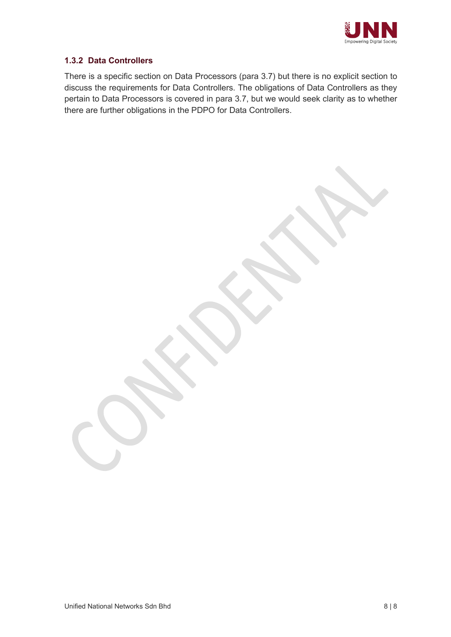

#### <span id="page-9-0"></span>**1.3.2 Data Controllers**

There is a specific section on Data Processors (para 3.7) but there is no explicit section to discuss the requirements for Data Controllers. The obligations of Data Controllers as they pertain to Data Processors is covered in para 3.7, but we would seek clarity as to whether there are further obligations in the PDPO for Data Controllers.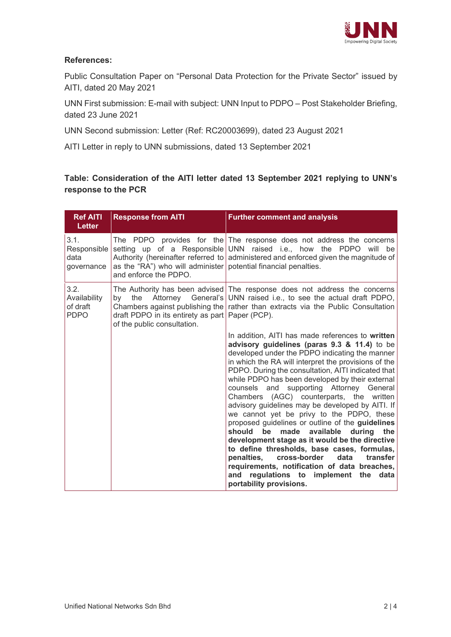

#### **References:**

Public Consultation Paper on "Personal Data Protection for the Private Sector" issued by AITI, dated 20 May 2021

UNN First submission: E-mail with subject: UNN Input to PDPO – Post Stakeholder Briefing, dated 23 June 2021

UNN Second submission: Letter (Ref: RC20003699), dated 23 August 2021

AITI Letter in reply to UNN submissions, dated 13 September 2021

#### **Table: Consideration of the AITI letter dated 13 September 2021 replying to UNN's response to the PCR**

| <b>Ref AITI</b><br><b>Letter</b>                | <b>Response from AITI</b>                                                                     | <b>Further comment and analysis</b>                                                                                                                                                                                                                                                                                                                                                                                                                                                                                                                                                                                                                                                                                                                                                                                                                                                              |
|-------------------------------------------------|-----------------------------------------------------------------------------------------------|--------------------------------------------------------------------------------------------------------------------------------------------------------------------------------------------------------------------------------------------------------------------------------------------------------------------------------------------------------------------------------------------------------------------------------------------------------------------------------------------------------------------------------------------------------------------------------------------------------------------------------------------------------------------------------------------------------------------------------------------------------------------------------------------------------------------------------------------------------------------------------------------------|
| 3.1.<br>Responsible<br>data<br>governance       | as the "RA") who will administer   potential financial penalties.<br>and enforce the PDPO.    | The PDPO provides for the $The$ response does not address the concerns<br>setting up of a Responsible UNN raised i.e., how the PDPO<br>will be<br>Authority (hereinafter referred to administered and enforced given the magnitude of                                                                                                                                                                                                                                                                                                                                                                                                                                                                                                                                                                                                                                                            |
| 3.2.<br>Availability<br>of draft<br><b>PDPO</b> | the<br>bv<br>draft PDPO in its entirety as part   Paper (PCP).<br>of the public consultation. | The Authority has been advised The response does not address the concerns<br>Attorney General's UNN raised i.e., to see the actual draft PDPO,<br>Chambers against publishing the rather than extracts via the Public Consultation                                                                                                                                                                                                                                                                                                                                                                                                                                                                                                                                                                                                                                                               |
|                                                 |                                                                                               | In addition, AITI has made references to written<br>advisory guidelines (paras 9.3 & 11.4) to be<br>developed under the PDPO indicating the manner<br>in which the RA will interpret the provisions of the<br>PDPO. During the consultation, AITI indicated that<br>while PDPO has been developed by their external<br>counsels and supporting Attorney General<br>Chambers (AGC) counterparts, the written<br>advisory guidelines may be developed by AITI. If<br>we cannot yet be privy to the PDPO, these<br>proposed guidelines or outline of the guidelines<br>be<br>made<br>available<br>should<br>during<br>the<br>development stage as it would be the directive<br>to define thresholds, base cases, formulas,<br>penalties.<br>cross-border<br>data<br>transfer<br>requirements, notification of data breaches,<br>and regulations to implement the<br>data<br>portability provisions. |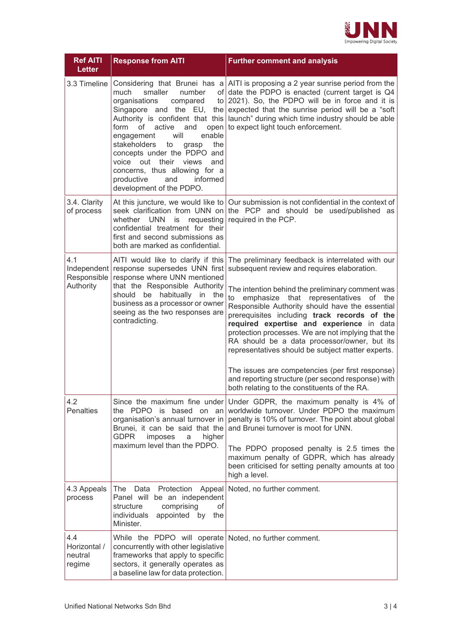

| <b>Ref AITI</b><br><b>Letter</b>         | <b>Response from AITI</b>                                                                                                                                                                                                                                                                                                                                                                           | <b>Further comment and analysis</b>                                                                                                                                                                                                                                                                                                                                                                                                                                                                                                                                                                                                                                         |
|------------------------------------------|-----------------------------------------------------------------------------------------------------------------------------------------------------------------------------------------------------------------------------------------------------------------------------------------------------------------------------------------------------------------------------------------------------|-----------------------------------------------------------------------------------------------------------------------------------------------------------------------------------------------------------------------------------------------------------------------------------------------------------------------------------------------------------------------------------------------------------------------------------------------------------------------------------------------------------------------------------------------------------------------------------------------------------------------------------------------------------------------------|
| 3.3 Timeline                             | smaller<br>much<br>number<br>organisations<br>compared<br>Singapore and the EU,<br>Authority is confident that this<br>of<br>active<br>open<br>form<br>and<br>enable<br>engagement<br>will<br>stakeholders<br>the<br>to<br>grasp<br>concepts under the PDPO and<br>voice out<br>their<br>views<br>and<br>concerns, thus allowing for a<br>productive<br>and<br>informed<br>development of the PDPO. | Considering that Brunei has a $\vert$ AITI is proposing a 2 year sunrise period from the<br>of date the PDPO is enacted (current target is Q4<br>to $2021$ ). So, the PDPO will be in force and it is<br>the expected that the sunrise period will be a "soft"<br>launch" during which time industry should be able<br>to expect light touch enforcement.                                                                                                                                                                                                                                                                                                                   |
| 3.4. Clarity<br>of process               | seek clarification from UNN on<br>whether UNN<br>requesting<br>is<br>confidential treatment for their<br>first and second submissions as<br>both are marked as confidential.                                                                                                                                                                                                                        | At this juncture, we would like to $\vert$ Our submission is not confidential in the context of<br>the PCP and should be used/published as<br>required in the PCP.                                                                                                                                                                                                                                                                                                                                                                                                                                                                                                          |
| 4.1<br>Responsible<br>Authority          | AITI would like to clarify if this<br>Independent response supersedes UNN first<br>response where UNN mentioned<br>that the Responsible Authority<br>should be habitually in the<br>business as a processor or owner<br>seeing as the two responses are<br>contradicting.                                                                                                                           | The preliminary feedback is interrelated with our<br>subsequent review and requires elaboration.<br>The intention behind the preliminary comment was<br>to<br>emphasize that representatives<br>of the<br>Responsible Authority should have the essential<br>prerequisites including track records of the<br>required expertise and experience in data<br>protection processes. We are not implying that the<br>RA should be a data processor/owner, but its<br>representatives should be subject matter experts.<br>The issues are competencies (per first response)<br>and reporting structure (per second response) with<br>both relating to the constituents of the RA. |
| 4.2<br><b>Penalties</b>                  | the PDPO is based on an<br>organisation's annual turnover in<br>Brunei, it can be said that the<br><b>GDPR</b><br>imposes<br>higher<br>a<br>maximum level than the PDPO.                                                                                                                                                                                                                            | Since the maximum fine under Under GDPR, the maximum penalty is 4% of<br>worldwide turnover. Under PDPO the maximum<br>penalty is 10% of turnover. The point about global<br>and Brunei turnover is moot for UNN.<br>The PDPO proposed penalty is 2.5 times the<br>maximum penalty of GDPR, which has already<br>been criticised for setting penalty amounts at too<br>high a level.                                                                                                                                                                                                                                                                                        |
| 4.3 Appeals<br>process                   | The<br>Protection<br>Appeal<br>Data<br>Panel will be an independent<br>structure<br>comprising<br>οf<br>appointed by<br>individuals<br>the<br>Minister.                                                                                                                                                                                                                                             | Noted, no further comment.                                                                                                                                                                                                                                                                                                                                                                                                                                                                                                                                                                                                                                                  |
| 4.4<br>Horizontal /<br>neutral<br>regime | While the PDPO will operate Noted, no further comment.<br>concurrently with other legislative<br>frameworks that apply to specific<br>sectors, it generally operates as<br>a baseline law for data protection.                                                                                                                                                                                      |                                                                                                                                                                                                                                                                                                                                                                                                                                                                                                                                                                                                                                                                             |